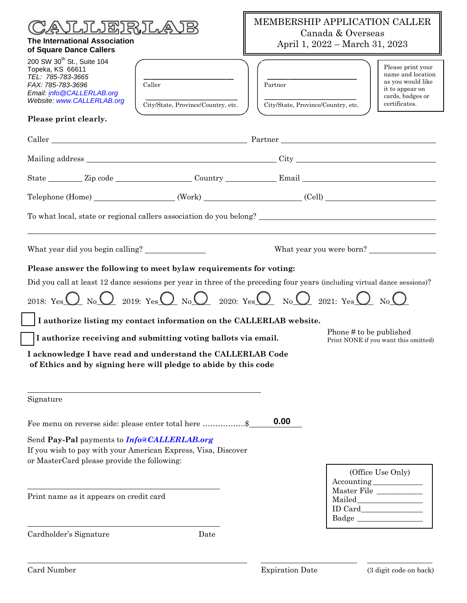| JLJEJRJL.<br><b>The International Association</b><br>of Square Dance Callers                                                                                                                                                                                                                                                                                                                                                                                                                                                                                                                                               | MEMBERSHIP APPLICATION CALLER<br>Canada & Overseas<br>April 1, 2022 – March 31, 2023                                                                                                                                                                                                                                                                                                                                                                                                                                                                                                                                                                                                                                                                                                                                                                                                                                                                                                                                                                                                                                                                                                                                                                                                      |  |
|----------------------------------------------------------------------------------------------------------------------------------------------------------------------------------------------------------------------------------------------------------------------------------------------------------------------------------------------------------------------------------------------------------------------------------------------------------------------------------------------------------------------------------------------------------------------------------------------------------------------------|-------------------------------------------------------------------------------------------------------------------------------------------------------------------------------------------------------------------------------------------------------------------------------------------------------------------------------------------------------------------------------------------------------------------------------------------------------------------------------------------------------------------------------------------------------------------------------------------------------------------------------------------------------------------------------------------------------------------------------------------------------------------------------------------------------------------------------------------------------------------------------------------------------------------------------------------------------------------------------------------------------------------------------------------------------------------------------------------------------------------------------------------------------------------------------------------------------------------------------------------------------------------------------------------|--|
| 200 SW 30 <sup>th</sup> St., Suite 104<br>Topeka, KS 66611<br>TEL: 785-783-3665<br>Caller<br>FAX: 785-783-3696<br>Email: info@CALLERLAB.org<br>Website: www.CALLERLAB.org<br>City/State, Province/Country, etc.                                                                                                                                                                                                                                                                                                                                                                                                            | Please print your<br>name and location<br>as you would like<br>Partner<br>it to appear on<br>cards, badges or<br>City/State, Province/Country, etc.<br>certificates.                                                                                                                                                                                                                                                                                                                                                                                                                                                                                                                                                                                                                                                                                                                                                                                                                                                                                                                                                                                                                                                                                                                      |  |
| Please print clearly.                                                                                                                                                                                                                                                                                                                                                                                                                                                                                                                                                                                                      |                                                                                                                                                                                                                                                                                                                                                                                                                                                                                                                                                                                                                                                                                                                                                                                                                                                                                                                                                                                                                                                                                                                                                                                                                                                                                           |  |
|                                                                                                                                                                                                                                                                                                                                                                                                                                                                                                                                                                                                                            |                                                                                                                                                                                                                                                                                                                                                                                                                                                                                                                                                                                                                                                                                                                                                                                                                                                                                                                                                                                                                                                                                                                                                                                                                                                                                           |  |
|                                                                                                                                                                                                                                                                                                                                                                                                                                                                                                                                                                                                                            |                                                                                                                                                                                                                                                                                                                                                                                                                                                                                                                                                                                                                                                                                                                                                                                                                                                                                                                                                                                                                                                                                                                                                                                                                                                                                           |  |
|                                                                                                                                                                                                                                                                                                                                                                                                                                                                                                                                                                                                                            |                                                                                                                                                                                                                                                                                                                                                                                                                                                                                                                                                                                                                                                                                                                                                                                                                                                                                                                                                                                                                                                                                                                                                                                                                                                                                           |  |
|                                                                                                                                                                                                                                                                                                                                                                                                                                                                                                                                                                                                                            |                                                                                                                                                                                                                                                                                                                                                                                                                                                                                                                                                                                                                                                                                                                                                                                                                                                                                                                                                                                                                                                                                                                                                                                                                                                                                           |  |
| To what local, state or regional callers association do you belong?                                                                                                                                                                                                                                                                                                                                                                                                                                                                                                                                                        |                                                                                                                                                                                                                                                                                                                                                                                                                                                                                                                                                                                                                                                                                                                                                                                                                                                                                                                                                                                                                                                                                                                                                                                                                                                                                           |  |
| Please answer the following to meet bylaw requirements for voting:<br>Did you call at least 12 dance sessions per year in three of the preceding four years (including virtual dance sessions)?<br>2018: Yes $\bigcirc$ No $\bigcirc$ 2019: Yes $\bigcirc$ No $\bigcirc$ 2020: Yes $\bigcirc$ No $\bigcirc$ 2021: Yes $\bigcirc$ No $\bigcirc$<br>I authorize listing my contact information on the CALLERLAB website.<br>I authorize receiving and submitting voting ballots via email.<br>I acknowledge I have read and understand the CALLERLAB Code<br>of Ethics and by signing here will pledge to abide by this code | What year you were born?<br>Phone # to be published<br>Print NONE if you want this omitted)                                                                                                                                                                                                                                                                                                                                                                                                                                                                                                                                                                                                                                                                                                                                                                                                                                                                                                                                                                                                                                                                                                                                                                                               |  |
| Signature                                                                                                                                                                                                                                                                                                                                                                                                                                                                                                                                                                                                                  |                                                                                                                                                                                                                                                                                                                                                                                                                                                                                                                                                                                                                                                                                                                                                                                                                                                                                                                                                                                                                                                                                                                                                                                                                                                                                           |  |
| Fee menu on reverse side: please enter total here \$                                                                                                                                                                                                                                                                                                                                                                                                                                                                                                                                                                       | 0.00                                                                                                                                                                                                                                                                                                                                                                                                                                                                                                                                                                                                                                                                                                                                                                                                                                                                                                                                                                                                                                                                                                                                                                                                                                                                                      |  |
| Send Pay-Pal payments to Info@CALLERLAB.org<br>If you wish to pay with your American Express, Visa, Discover<br>or MasterCard please provide the following:                                                                                                                                                                                                                                                                                                                                                                                                                                                                |                                                                                                                                                                                                                                                                                                                                                                                                                                                                                                                                                                                                                                                                                                                                                                                                                                                                                                                                                                                                                                                                                                                                                                                                                                                                                           |  |
| Print name as it appears on credit card                                                                                                                                                                                                                                                                                                                                                                                                                                                                                                                                                                                    | (Office Use Only)<br>$\begin{tabular}{c} According \end{tabular} \begin{tabular}{p{3.5cm}} \includegraphics[width=0.35\textwidth]{p11.5cm}} \end{tabular}$<br>$\begin{tabular}{ll} Master File & \underline{\hspace{1.5cm}} & \underline{\hspace{1.5cm}} & \underline{\hspace{1.5cm}} & \underline{\hspace{1.5cm}} & \underline{\hspace{1.5cm}} & \underline{\hspace{1.5cm}} & \underline{\hspace{1.5cm}} & \underline{\hspace{1.5cm}} & \underline{\hspace{1.5cm}} & \underline{\hspace{1.5cm}} & \underline{\hspace{1.5cm}} & \underline{\hspace{1.5cm}} & \underline{\hspace{1.5cm}} & \underline{\hspace{1.5cm}} & \underline{\hspace{1.5cm}} & \underline{\hspace{1.5cm}} & \underline{\hspace{1.5cm}} & \underline{\hspace$<br>$\begin{minipage}{.4\linewidth} \textbf{Mailed}\begin{tabular}{c} \textbf{Output} \end{tabular} \end{minipage} \vspace{-0.5em} \begin{minipage}{.4\linewidth} \textbf{Mailed}\begin{tabular}{c} \textbf{Output} \end{tabular} \end{minipage} \vspace{-0.5em} \caption{The \textbf{All} \textbf{All} \textbf{All} \textbf{All} \textbf{All} \textbf{All} \textbf{All} \textbf{All} \textbf{All} \textbf{All} \textbf{All} \textbf{All} \textbf{All} \textbf{All} \textbf{All} \textbf{All} \textbf{All} \textbf{All}$<br>$\bf{Badge}\ \_\_\_\_\_\_\_$ |  |
| Cardholder's Signature<br>Date                                                                                                                                                                                                                                                                                                                                                                                                                                                                                                                                                                                             |                                                                                                                                                                                                                                                                                                                                                                                                                                                                                                                                                                                                                                                                                                                                                                                                                                                                                                                                                                                                                                                                                                                                                                                                                                                                                           |  |
|                                                                                                                                                                                                                                                                                                                                                                                                                                                                                                                                                                                                                            |                                                                                                                                                                                                                                                                                                                                                                                                                                                                                                                                                                                                                                                                                                                                                                                                                                                                                                                                                                                                                                                                                                                                                                                                                                                                                           |  |

л

٦